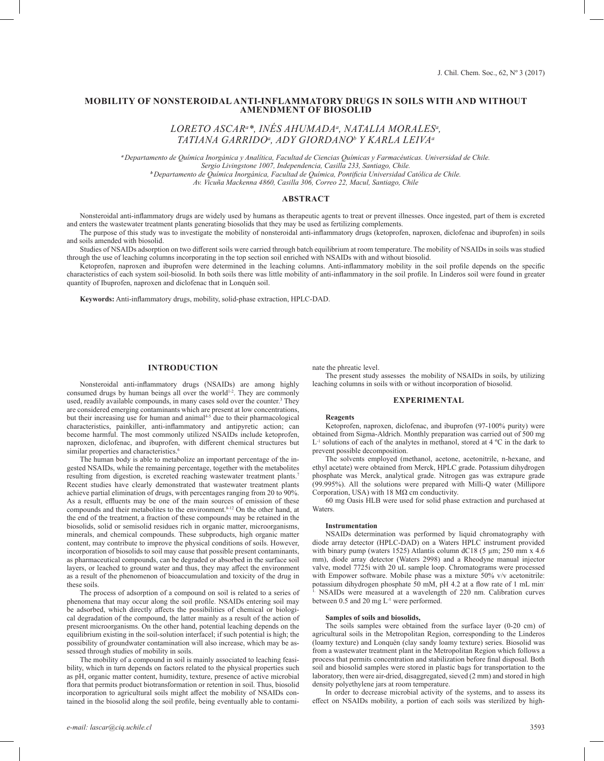# **MOBILITY OF NONSTEROIDAL ANTI-INFLAMMATORY DRUGS IN SOILS WITH AND WITHOUT AMENDMENT OF BIOSOLID**

# *LORETO ASCARa \*, INÉS AHUMADAa , NATALIA MORALESa , TATIANA GARRIDOa , ADY GIORDANOb Y KARLA LEIVAa*

*<sup>a</sup>Departamento de Química Inorgánica y Analítica, Facultad de Ciencias Químicas y Farmacéuticas. Universidad de Chile. Sergio Livingstone 1007, Independencia, Casilla 233, Santiago, Chile. <sup>b</sup>Departamento de Química Inorgánica, Facultad de Química, Pontificia Universidad Católica de Chile. Av. Vicuña Mackenna 4860, Casilla 306, Correo 22, Macul, Santiago, Chile*

#### **ABSTRACT**

Nonsteroidal anti-inflammatory drugs are widely used by humans as therapeutic agents to treat or prevent illnesses. Once ingested, part of them is excreted and enters the wastewater treatment plants generating biosolids that they may be used as fertilizing complements.

The purpose of this study was to investigate the mobility of nonsteroidal anti-inflammatory drugs (ketoprofen, naproxen, diclofenac and ibuprofen) in soils and soils amended with biosolid.

Studies of NSAIDs adsorption on two different soils were carried through batch equilibrium at room temperature. The mobility of NSAIDs in soils was studied through the use of leaching columns incorporating in the top section soil enriched with NSAIDs with and without biosolid.

Ketoprofen, naproxen and ibuprofen were determined in the leaching columns. Anti-inflammatory mobility in the soil profile depends on the specific characteristics of each system soil-biosolid. In both soils there was little mobility of anti-inflammatory in the soil profile. In Linderos soil were found in greater quantity of Ibuprofen, naproxen and diclofenac that in Lonquén soil.

**Keywords:** Anti-inflammatory drugs, mobility, solid-phase extraction, HPLC-DAD.

### **INTRODUCTION**

Nonsteroidal anti-inflammatory drugs (NSAIDs) are among highly consumed drugs by human beings all over the world<sup>1-2</sup>. They are commonly used, readily available compounds, in many cases sold over the counter.<sup>3</sup> They are considered emerging contaminants which are present at low concentrations, but their increasing use for human and animal $4.5$  due to their pharmacological characteristics, painkiller, anti-inflammatory and antipyretic action; can become harmful. The most commonly utilized NSAIDs include ketoprofen, naproxen, diclofenac, and ibuprofen, with different chemical structures but similar properties and characteristics.<sup>6</sup>

The human body is able to metabolize an important percentage of the ingested NSAIDs, while the remaining percentage, together with the metabolites resulting from digestion, is excreted reaching wastewater treatment plants.<sup>7</sup> Recent studies have clearly demonstrated that wastewater treatment plants achieve partial elimination of drugs, with percentages ranging from 20 to 90%. As a result, effluents may be one of the main sources of emission of these compounds and their metabolites to the environment.<sup>8-12</sup> On the other hand, at the end of the treatment, a fraction of these compounds may be retained in the biosolids, solid or semisolid residues rich in organic matter, microorganisms, minerals, and chemical compounds. These subproducts, high organic matter content, may contribute to improve the physical conditions of soils. However, incorporation of biosolids to soil may cause that possible present contaminants, as pharmaceutical compounds, can be degraded or absorbed in the surface soil layers, or leached to ground water and thus, they may affect the environment as a result of the phenomenon of bioaccumulation and toxicity of the drug in these soils.

The process of adsorption of a compound on soil is related to a series of phenomena that may occur along the soil profile. NSAIDs entering soil may be adsorbed, which directly affects the possibilities of chemical or biological degradation of the compound, the latter mainly as a result of the action of present microorganisms. On the other hand, potential leaching depends on the equilibrium existing in the soil-solution interfacel; if such potential is high; the possibility of groundwater contamination will also increase, which may be assessed through studies of mobility in soils.

The mobility of a compound in soil is mainly associated to leaching feasibility, which in turn depends on factors related to the physical properties such as pH, organic matter content, humidity, texture, presence of active microbial flora that permits product biotransformation or retention in soil. Thus, biosolid incorporation to agricultural soils might affect the mobility of NSAIDs contained in the biosolid along the soil profile, being eventually able to contaminate the phreatic level.

The present study assesses the mobility of NSAIDs in soils, by utilizing leaching columns in soils with or without incorporation of biosolid.

### **EXPERIMENTAL**

#### **Reagents**

Ketoprofen, naproxen, diclofenac, and ibuprofen (97-100% purity) were obtained from Sigma-Aldrich. Monthly preparation was carried out of 500 mg L-1 solutions of each of the analytes in methanol, stored at 4 ºC in the dark to prevent possible decomposition.

The solvents employed (methanol, acetone, acetonitrile, n-hexane, and ethyl acetate) were obtained from Merck, HPLC grade. Potassium dihydrogen phosphate was Merck, analytical grade. Nitrogen gas was extrapure grade (99.995%). All the solutions were prepared with Milli-Q water (Millipore Corporation, USA) with 18 MΩ cm conductivity.

60 mg Oasis HLB were used for solid phase extraction and purchased at Waters.

#### **Instrumentation**

NSAIDs determination was performed by liquid chromatography with diode array detector (HPLC-DAD) on a Waters HPLC instrument provided with binary pump (waters 1525) Atlantis column dC18 (5 µm; 250 mm x 4.6 mm), diode array detector (Waters 2998) and a Rheodyne manual injector valve, model 7725i with 20 uL sample loop. Chromatograms were processed with Empower software. Mobile phase was a mixture 50% v/v acetonitrile: potassium dihydrogen phosphate 50 mM, pH 4.2 at a flow rate of 1 mL min-1. NSAIDs were measured at a wavelength of 220 nm. Calibration curves between 0.5 and 20 mg L<sup>-1</sup> were performed.

#### **Samples of soils and biosolids,**

The soils samples were obtained from the surface layer (0-20 cm) of agricultural soils in the Metropolitan Region, corresponding to the Linderos (loamy texture) and Lonquén (clay sandy loamy texture) series. Biosolid was from a wastewater treatment plant in the Metropolitan Region which follows a process that permits concentration and stabilization before final disposal. Both soil and biosolid samples were stored in plastic bags for transportation to the laboratory, then were air-dried, disaggregated, sieved (2 mm) and stored in high density polyethylene jars at room temperature.

In order to decrease microbial activity of the systems, and to assess its effect on NSAIDs mobility, a portion of each soils was sterilized by high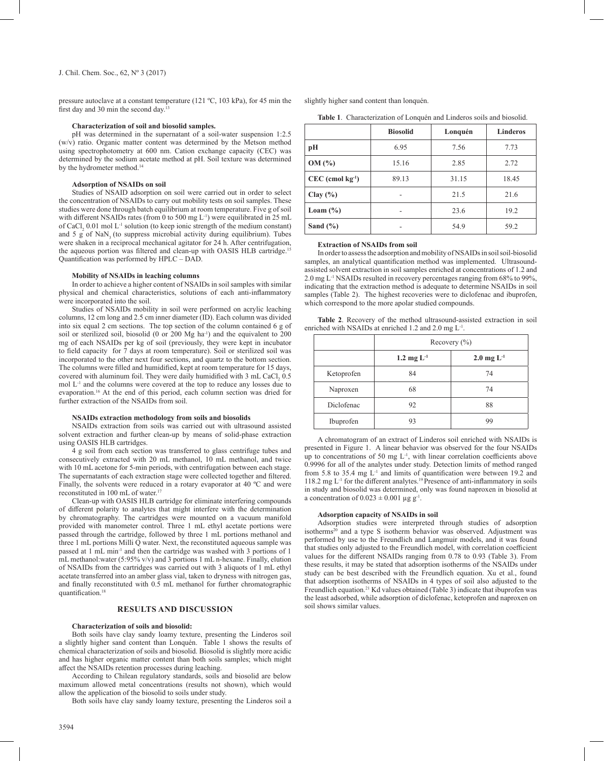pressure autoclave at a constant temperature (121 ºC, 103 kPa), for 45 min the first day and 30 min the second day.

#### **Characterization of soil and biosolid samples.**

pH was determined in the supernatant of a soil-water suspension 1:2.5 (w/v) ratio. Organic matter content was determined by the Metson method using spectrophotometry at 600 nm. Cation exchange capacity (CEC) was determined by the sodium acetate method at pH. Soil texture was determined by the hydrometer method.<sup>14</sup>

#### **Adsorption of NSAIDs on soil**

Studies of NSAID adsorption on soil were carried out in order to select the concentration of NSAIDs to carry out mobility tests on soil samples. These studies were done through batch equilibrium at room temperature. Five g of soil with different NSAIDs rates (from 0 to 500 mg  $L^{-1}$ ) were equilibrated in 25 mL of CaCl<sub>2</sub> 0.01 mol L<sup>-1</sup> solution (to keep ionic strength of the medium constant) and 5  $g$  of NaN<sub>3</sub> (to suppress microbial activity during equilibrium). Tubes were shaken in a reciprocal mechanical agitator for 24 h. After centrifugation, the aqueous portion was filtered and clean-up with OASIS HLB cartridge.<sup>15</sup> Quantification was performed by HPLC – DAD.

### **Mobility of NSAIDs in leaching columns**

In order to achieve a higher content of NSAIDs in soil samples with similar physical and chemical characteristics, solutions of each anti-inflammatory were incorporated into the soil.

Studies of NSAIDs mobility in soil were performed on acrylic leaching columns, 12 cm long and 2.5 cm inner diameter (ID). Each column was divided into six equal 2 cm sections. The top section of the column contained 6 g of soil or sterilized soil, biosolid (0 or 200 Mg ha<sup>-1</sup>) and the equivalent to  $200$ mg of each NSAIDs per kg of soil (previously, they were kept in incubator to field capacity for 7 days at room temperature). Soil or sterilized soil was incorporated to the other next four sections, and quartz to the bottom section. The columns were filled and humidified, kept at room temperature for 15 days, covered with aluminum foil. They were daily humidified with  $3 \text{ mL } CaCl_2\ 0.5$ mol L-1 and the columns were covered at the top to reduce any losses due to evaporation.<sup>16</sup> At the end of this period, each column section was dried for further extraction of the NSAIDs from soil.

### **NSAIDs extraction methodology from soils and biosolids**

NSAIDs extraction from soils was carried out with ultrasound assisted solvent extraction and further clean-up by means of solid-phase extraction using OASIS HLB cartridges.

4 g soil from each section was transferred to glass centrifuge tubes and consecutively extracted with 20 mL methanol, 10 mL methanol, and twice with 10 mL acetone for 5-min periods, with centrifugation between each stage. The supernatants of each extraction stage were collected together and filtered. Finally, the solvents were reduced in a rotary evaporator at 40 ºC and were reconstituted in 100 mL of water.<sup>17</sup>

Clean-up with OASIS HLB cartridge for eliminate interfering compounds of different polarity to analytes that might interfere with the determination by chromatography. The cartridges were mounted on a vacuum manifold provided with manometer control. Three 1 mL ethyl acetate portions were passed through the cartridge, followed by three 1 mL portions methanol and three 1 mL portions Milli Q water. Next, the reconstituted aqueous sample was passed at 1 mL min-1 and then the cartridge was washed with 3 portions of 1 mL methanol:water (5:95% v/v) and 3 portions 1 mL n-hexane. Finally, elution of NSAIDs from the cartridges was carried out with 3 aliquots of 1 mL ethyl acetate transferred into an amber glass vial, taken to dryness with nitrogen gas, and finally reconstituted with 0.5 mL methanol for further chromatographic quantification.<sup>18</sup>

#### **RESULTS AND DISCUSSION**

### **Characterization of soils and biosolid:**

Both soils have clay sandy loamy texture, presenting the Linderos soil a slightly higher sand content than Lonquén. Table 1 shows the results of chemical characterization of soils and biosolid. Biosolid is slightly more acidic and has higher organic matter content than both soils samples; which might affect the NSAIDs retention processes during leaching.

According to Chilean regulatory standards, soils and biosolid are below maximum allowed metal concentrations (results not shown), which would allow the application of the biosolid to soils under study.

Both soils have clay sandy loamy texture, presenting the Linderos soil a

slightly higher sand content than lonquén.

**Table 1**. Characterization of Lonquén and Linderos soils and biosolid.

|                         | <b>Biosolid</b> | Lonquén | <b>Linderos</b> |  |
|-------------------------|-----------------|---------|-----------------|--|
| рH                      | 6.95            | 7.56    | 7.73            |  |
| OM(%)                   | 15.16           | 2.85    | 2.72            |  |
| $CEC$ (cmol $kg^{-1}$ ) | 89.13           | 31.15   | 18.45           |  |
| Clay $(\% )$            |                 | 21.5    | 21.6            |  |
| Loam $(\% )$            |                 | 23.6    | 19.2            |  |
| Sand $(\% )$            |                 | 54.9    | 59.2            |  |

### **Extraction of NSAIDs from soil**

In order to assess the adsorption and mobility of NSAIDs in soil soil-biosolid samples, an analytical quantification method was implemented. Ultrasoundassisted solvent extraction in soil samples enriched at concentrations of 1.2 and 2.0 mg L-1 NSAIDs resulted in recovery percentages ranging from 68% to 99%, indicating that the extraction method is adequate to determine NSAIDs in soil samples (Table 2). The highest recoveries were to diclofenac and ibuprofen, which correspond to the more apolar studied compounds.

|  |  | Table 2. Recovery of the method ultrasound-assisted extraction in soil |  |  |
|--|--|------------------------------------------------------------------------|--|--|
|  |  | enriched with NSAIDs at enriched 1.2 and 2.0 mg $L-1$ .                |  |  |

|            | Recovery $(\% )$ |                          |  |  |
|------------|------------------|--------------------------|--|--|
|            | 1.2 mg $L^{-1}$  | $2.0 \text{ mg } L^{-1}$ |  |  |
| Ketoprofen | 84               | 74                       |  |  |
| Naproxen   | 68               | 74                       |  |  |
| Diclofenac | 92               | 88                       |  |  |
| Ibuprofen  | 93               | 99                       |  |  |

A chromatogram of an extract of Linderos soil enriched with NSAIDs is presented in Figure 1. A linear behavior was observed for the four NSAIDs up to concentrations of 50 mg  $L<sup>-1</sup>$ , with linear correlation coefficients above 0.9996 for all of the analytes under study. Detection limits of method ranged from 5.8 to 35.4 mg L<sup>-1</sup> and limits of quantification were between 19.2 and 118.2 mg L<sup>-1</sup> for the different analytes.<sup>19</sup> Presence of anti-inflammatory in soils in study and biosolid was determined, only was found naproxen in biosolid at a concentration of  $0.023 \pm 0.001$  µg g<sup>-1</sup>.

#### **Adsorption capacity of NSAIDs in soil**

Adsorption studies were interpreted through studies of adsorption isotherms20 and a type S isotherm behavior was observed. Adjustment was performed by use to the Freundlich and Langmuir models, and it was found that studies only adjusted to the Freundlich model, with correlation coefficient values for the different NSAIDs ranging from 0.78 to 0.93 (Table 3). From these results, it may be stated that adsorption isotherms of the NSAIDs under study can be best described with the Freundlich equation. Xu et al., found that adsorption isotherms of NSAIDs in 4 types of soil also adjusted to the Freundlich equation.<sup>21</sup> Kd values obtained (Table 3) indicate that ibuprofen was the least adsorbed, while adsorption of diclofenac, ketoprofen and naproxen on soil shows similar values.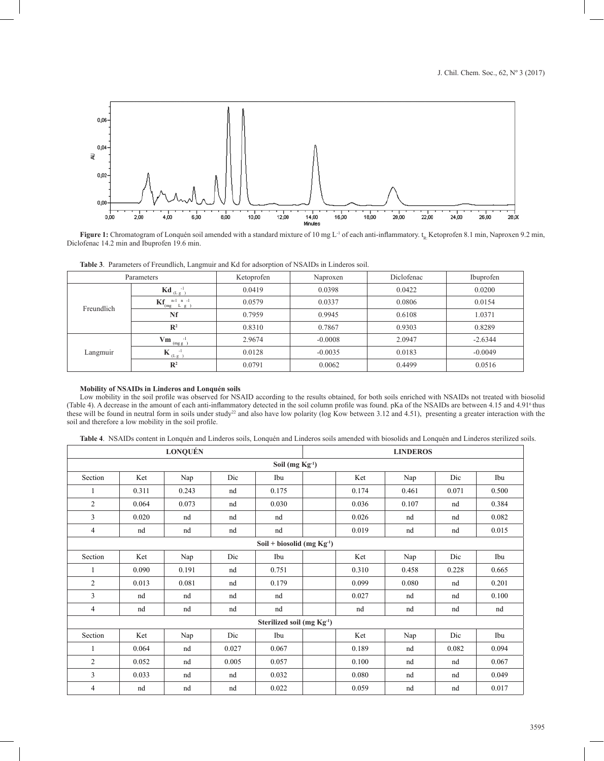

**Figure 1:** Chromatogram of Lonquén soil amended with a standard mixture of 10 mg L<sup>-1</sup> of each anti-inflammatory. t<sub>R:</sub> Ketoprofen 8.1 min, Naproxen 9.2 min, Diclofenac 14.2 min and Ibuprofen 19.6 min.

| Parameters |                                  | Ketoprofen | Naproxen  | Diclofenac | Ibuprofen |  |
|------------|----------------------------------|------------|-----------|------------|-----------|--|
| Freundlich | $Kd_{(L g)}^{-1}$                | 0.0419     | 0.0398    | 0.0422     | 0.0200    |  |
|            | $Kf_{(mg}^{n-1}Lg}^{-n-1}$       | 0.0579     | 0.0337    | 0.0806     | 0.0154    |  |
|            | Nf                               | 0.7959     | 0.9945    | 0.6108     | 1.0371    |  |
|            | $\mathbb{R}^2$                   | 0.8310     | 0.7867    | 0.9303     | 0.8289    |  |
| Langmuir   | $\frac{\text{Vm}}{\text{(mgg)}}$ | 2.9674     | $-0.0008$ | 2.0947     | $-2.6344$ |  |
|            | $K_{\frac{(\text{Lg})}{\sigma}}$ | 0.0128     | $-0.0035$ | 0.0183     | $-0.0049$ |  |
|            | $\mathbb{R}^2$                   | 0.0791     | 0.0062    | 0.4499     | 0.0516    |  |

**Table 3**. Parameters of Freundlich, Langmuir and Kd for adsorption of NSAIDs in Linderos soil.

### **Mobility of NSAIDs in Linderos and Lonquén soils**

Low mobility in the soil profile was observed for NSAID according to the results obtained, for both soils enriched with NSAIDs not treated with biosolid (Table 4). A decrease in the amount of each anti-inflammatory detected in the soil column profile was found. pKa of the NSAIDs are between 4.15 and 4.91<sup>6</sup>thus these will be found in neutral form in soils under study<sup>22</sup> and also have low polarity (log Kow between 3.12 and 4.51), presenting a greater interaction with the soil and therefore a low mobility in the soil profile.

| <b>LONQUÉN</b>      |                                 |       |       | <b>LINDEROS</b>           |  |       |       |       |       |
|---------------------|---------------------------------|-------|-------|---------------------------|--|-------|-------|-------|-------|
| Soil $(mg Kg^{-1})$ |                                 |       |       |                           |  |       |       |       |       |
| Section             | Ket                             | Nap   | Dic   | Ibu                       |  | Ket   | Nap   | Dic   | Ibu   |
| 1                   | 0.311                           | 0.243 | nd    | 0.175                     |  | 0.174 | 0.461 | 0.071 | 0.500 |
| $\overline{2}$      | 0.064                           | 0.073 | nd    | 0.030                     |  | 0.036 | 0.107 | nd    | 0.384 |
| $\mathfrak{Z}$      | 0.020                           | nd    | nd    | nd                        |  | 0.026 | nd    | nd    | 0.082 |
| 4                   | nd                              | nd    | nd    | nd                        |  | 0.019 | nd    | nd    | 0.015 |
|                     | Soil + biosolid (mg $Kg^{-1}$ ) |       |       |                           |  |       |       |       |       |
| Section             | Ket                             | Nap   | Dic   | Ibu                       |  | Ket   | Nap   | Dic   | Ibu   |
| 1                   | 0.090                           | 0.191 | nd    | 0.751                     |  | 0.310 | 0.458 | 0.228 | 0.665 |
| 2                   | 0.013                           | 0.081 | nd    | 0.179                     |  | 0.099 | 0.080 | nd    | 0.201 |
| 3                   | nd                              | nd    | nd    | nd                        |  | 0.027 | nd    | nd    | 0.100 |
| 4                   | nd                              | nd    | nd    | nd                        |  | nd    | nd    | nd    | nd    |
|                     |                                 |       |       | Sterilized soil (mg Kg-1) |  |       |       |       |       |
| Section             | Ket                             | Nap   | Dic   | Ibu                       |  | Ket   | Nap   | Dic   | Ibu   |
| 1                   | 0.064                           | nd    | 0.027 | 0.067                     |  | 0.189 | nd    | 0.082 | 0.094 |
| $\overline{c}$      | 0.052                           | nd    | 0.005 | 0.057                     |  | 0.100 | nd    | nd    | 0.067 |
| 3                   | 0.033                           | nd    | nd    | 0.032                     |  | 0.080 | nd    | nd    | 0.049 |
| $\overline{4}$      | nd                              | nd    | nd    | 0.022                     |  | 0.059 | nd    | nd    | 0.017 |

**Table 4**. NSAIDs content in Lonquén and Linderos soils, Lonquén and Linderos soils amended with biosolids and Lonquén and Linderos sterilized soils.